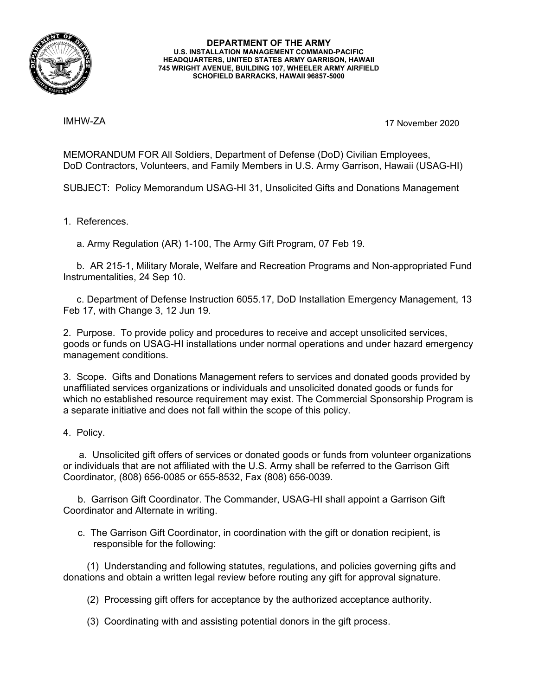

## **DEPARTMENT OF THE ARMY U.S. INSTALLATION MANAGEMENT COMMAND-PACIFIC HEADQUARTERS, UNITED STATES ARMY GARRISON, HAWAII 745 WRIGHT AVENUE, BUILDING 107, WHEELER ARMY AIRFIELD SCHOFIELD BARRACKS, HAWAII 96857-5000**

IMHW-ZA

17 November 2020

MEMORANDUM FOR All Soldiers, Department of Defense (DoD) Civilian Employees, DoD Contractors, Volunteers, and Family Members in U.S. Army Garrison, Hawaii (USAG-HI)

SUBJECT: Policy Memorandum USAG-HI 31, Unsolicited Gifts and Donations Management

1. References.

a. Army Regulation (AR) 1-100, The Army Gift Program, 07 Feb 19.

b. AR 215-1, Military Morale, Welfare and Recreation Programs and Non-appropriated Fund Instrumentalities, 24 Sep 10.

c. Department of Defense Instruction 6055.17, DoD Installation Emergency Management, 13 Feb 17, with Change 3, 12 Jun 19.

2. Purpose. To provide policy and procedures to receive and accept unsolicited services, goods or funds on USAG-HI installations under normal operations and under hazard emergency management conditions.

3. Scope. Gifts and Donations Management refers to services and donated goods provided by unaffiliated services organizations or individuals and unsolicited donated goods or funds for which no established resource requirement may exist. The Commercial Sponsorship Program is a separate initiative and does not fall within the scope of this policy.

4. Policy.

a. Unsolicited gift offers of services or donated goods or funds from volunteer organizations or individuals that are not affiliated with the U.S. Army shall be referred to the Garrison Gift Coordinator, (808) 656-0085 or 655-8532, Fax (808) 656-0039.

b. Garrison Gift Coordinator. The Commander, USAG-HI shall appoint a Garrison Gift Coordinator and Alternate in writing.

c. The Garrison Gift Coordinator, in coordination with the gift or donation recipient, is responsible for the following:

(1) Understanding and following statutes, regulations, and policies governing gifts and donations and obtain a written legal review before routing any gift for approval signature.

(2) Processing gift offers for acceptance by the authorized acceptance authority.

(3) Coordinating with and assisting potential donors in the gift process.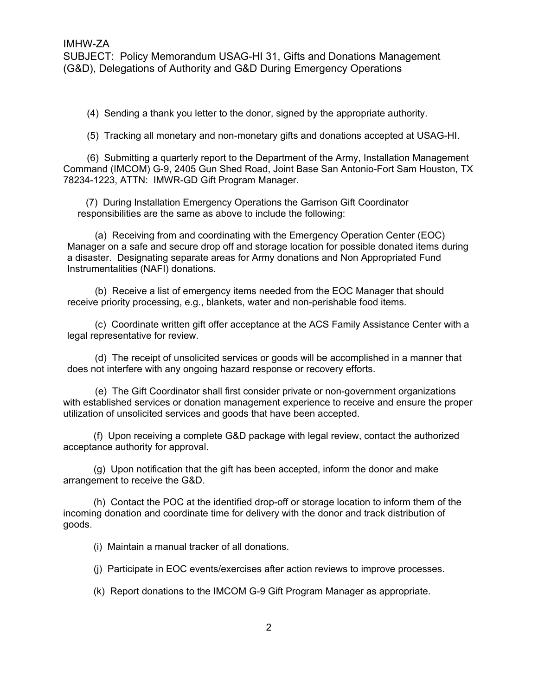(4) Sending a thank you letter to the donor, signed by the appropriate authority.

(5) Tracking all monetary and non-monetary gifts and donations accepted at USAG-HI.

(6) Submitting a quarterly report to the Department of the Army, Installation Management Command (IMCOM) G-9, 2405 Gun Shed Road, Joint Base San Antonio-Fort Sam Houston, TX 78234-1223, ATTN: IMWR-GD Gift Program Manager.

(7) During Installation Emergency Operations the Garrison Gift Coordinator responsibilities are the same as above to include the following:

(a) Receiving from and coordinating with the Emergency Operation Center (EOC) Manager on a safe and secure drop off and storage location for possible donated items during a disaster. Designating separate areas for Army donations and Non Appropriated Fund Instrumentalities (NAFI) donations.

(b) Receive a list of emergency items needed from the EOC Manager that should receive priority processing, e.g., blankets, water and non-perishable food items.

(c) Coordinate written gift offer acceptance at the ACS Family Assistance Center with a legal representative for review.

(d) The receipt of unsolicited services or goods will be accomplished in a manner that does not interfere with any ongoing hazard response or recovery efforts.

(e) The Gift Coordinator shall first consider private or non-government organizations with established services or donation management experience to receive and ensure the proper utilization of unsolicited services and goods that have been accepted.

(f) Upon receiving a complete G&D package with legal review, contact the authorized acceptance authority for approval.

(g) Upon notification that the gift has been accepted, inform the donor and make arrangement to receive the G&D.

(h) Contact the POC at the identified drop-off or storage location to inform them of the incoming donation and coordinate time for delivery with the donor and track distribution of goods.

(i) Maintain a manual tracker of all donations.

(j) Participate in EOC events/exercises after action reviews to improve processes.

(k) Report donations to the IMCOM G-9 Gift Program Manager as appropriate.